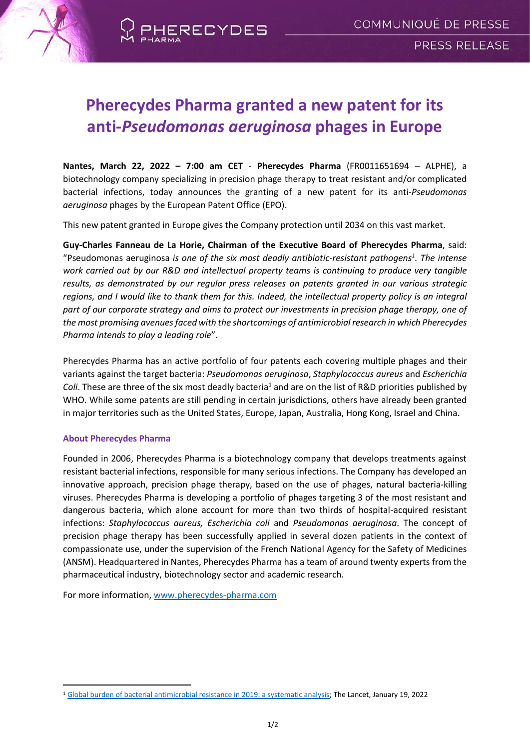

# **Pherecydes Pharma granted a new patent for its anti-***Pseudomonas aeruginosa* **phages in Europe**

**Nantes, March 22, 2022 – 7:00 am CET** - **Pherecydes Pharma** (FR0011651694 – ALPHE), a biotechnology company specializing in precision phage therapy to treat resistant and/or complicated bacterial infections, today announces the granting of a new patent for its anti-*Pseudomonas aeruginosa* phages by the European Patent Office (EPO).

This new patent granted in Europe gives the Company protection until 2034 on this vast market.

**Guy-Charles Fanneau de La Horie, Chairman of the Executive Board of Pherecydes Pharma**, said: "Pseudomonas aeruginosa *is one of the six most deadly antibiotic-resistant pathogens<sup>1</sup> . The intense work carried out by our R&D and intellectual property teams is continuing to produce very tangible results, as demonstrated by our regular press releases on patents granted in our various strategic regions, and I would like to thank them for this. Indeed, the intellectual property policy is an integral part of our corporate strategy and aims to protect our investments in precision phage therapy, one of the most promising avenues faced with the shortcomings of antimicrobial research in which Pherecydes Pharma intends to play a leading role*".

Pherecydes Pharma has an active portfolio of four patents each covering multiple phages and their variants against the target bacteria: *Pseudomonas aeruginosa*, *Staphylococcus aureus* and *Escherichia Coli*. These are three of the six most deadly bacteria<sup>1</sup> and are on the list of R&D priorities published by WHO. While some patents are still pending in certain jurisdictions, others have already been granted in major territories such as the United States, Europe, Japan, Australia, Hong Kong, Israel and China.

## **About Pherecydes Pharma**

Founded in 2006, Pherecydes Pharma is a biotechnology company that develops treatments against resistant bacterial infections, responsible for many serious infections. The Company has developed an innovative approach, precision phage therapy, based on the use of phages, natural bacteria-killing viruses. Pherecydes Pharma is developing a portfolio of phages targeting 3 of the most resistant and dangerous bacteria, which alone account for more than two thirds of hospital-acquired resistant infections: *Staphylococcus aureus, Escherichia coli* and *Pseudomonas aeruginosa*. The concept of precision phage therapy has been successfully applied in several dozen patients in the context of compassionate use, under the supervision of the French National Agency for the Safety of Medicines (ANSM). Headquartered in Nantes, Pherecydes Pharma has a team of around twenty experts from the pharmaceutical industry, biotechnology sector and academic research.

For more information, [www.pherecydes-pharma.com](file:///C:/Users/Newcap/AppData/Local/Microsoft/Windows/INetCache/Content.Outlook/VSUEWB7P/www.pherecydes-pharma.com)

<sup>1</sup> [Global burden of bacterial antimicrobial resistance in 2019: a systematic analysis;](https://www.thelancet.com/journals/lancet/article/PIIS0140-6736(21)02724-0/fulltext) The Lancet, January 19, 2022